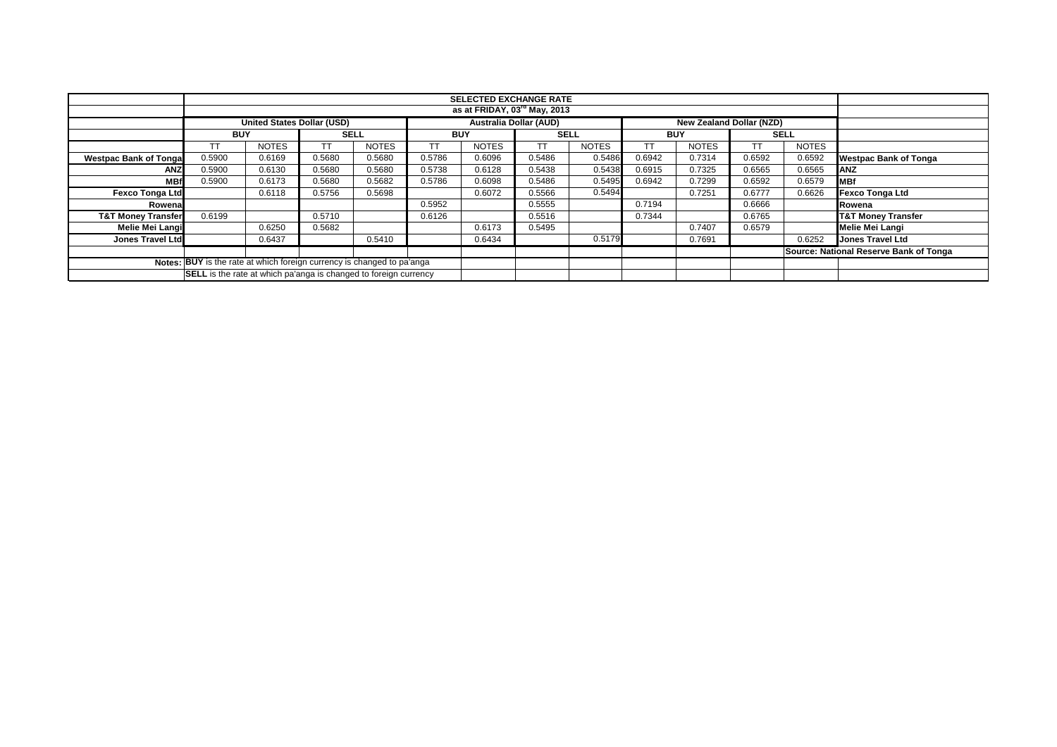|                               |                                                                                         | <b>SELECTED EXCHANGE RATE</b>            |             |              |            |              |             |              |            |              |        |              |                                        |
|-------------------------------|-----------------------------------------------------------------------------------------|------------------------------------------|-------------|--------------|------------|--------------|-------------|--------------|------------|--------------|--------|--------------|----------------------------------------|
|                               |                                                                                         | as at FRIDAY, 03 <sup>rd</sup> May, 2013 |             |              |            |              |             |              |            |              |        |              |                                        |
|                               | <b>Australia Dollar (AUD)</b><br>United States Dollar (USD)<br>New Zealand Dollar (NZD) |                                          |             |              |            |              |             |              |            |              |        |              |                                        |
|                               | <b>BUY</b>                                                                              |                                          | <b>SELL</b> |              | <b>BUY</b> |              | <b>SELL</b> |              | <b>BUY</b> |              |        | <b>SELL</b>  |                                        |
|                               |                                                                                         | <b>NOTES</b>                             | <b>TT</b>   | <b>NOTES</b> |            | <b>NOTES</b> | ТT          | <b>NOTES</b> |            | <b>NOTES</b> | TT     | <b>NOTES</b> |                                        |
| <b>Westpac Bank of Tonga</b>  | 0.5900                                                                                  | 0.6169                                   | 0.5680      | 0.5680       | 0.5786     | 0.6096       | 0.5486      | 0.5486       | 0.6942     | 0.7314       | 0.6592 | 0.6592       | <b>Westpac Bank of Tonga</b>           |
| <b>ANZ</b>                    | 0.5900                                                                                  | 0.6130                                   | 0.5680      | 0.5680       | 0.5738     | 0.6128       | 0.5438      | 0.5438       | 0.6915     | 0.7325       | 0.6565 | 0.6565       | <b>ANZ</b>                             |
| MB1                           | 0.5900                                                                                  | 0.6173                                   | 0.5680      | 0.5682       | 0.5786     | 0.6098       | 0.5486      | 0.5495       | 0.6942     | 0.7299       | 0.6592 | 0.6579       | <b>IMBf</b>                            |
| <b>Fexco Tonga Ltd</b>        |                                                                                         | 0.6118                                   | 0.5756      | 0.5698       |            | 0.6072       | 0.5566      | 0.5494       |            | 0.7251       | 0.6777 | 0.6626       | <b>Fexco Tonga Ltd</b>                 |
| Rowena                        |                                                                                         |                                          |             |              | 0.5952     |              | 0.5555      |              | 0.7194     |              | 0.6666 |              | Rowena                                 |
| <b>T&amp;T Money Transfer</b> | 0.6199                                                                                  |                                          | 0.5710      |              | 0.6126     |              | 0.5516      |              | 0.7344     |              | 0.6765 |              | <b>T&amp;T Money Transfer</b>          |
| Melie Mei Langi               |                                                                                         | 0.6250                                   | 0.5682      |              |            | 0.6173       | 0.5495      |              |            | 0.7407       | 0.6579 |              | Melie Mei Langi                        |
| <b>Jones Travel Ltd</b>       |                                                                                         | 0.6437                                   |             | 0.5410       |            | 0.6434       |             | 0.5179       |            | 0.7691       |        | 0.6252       | <b>Jones Travel Ltd</b>                |
|                               |                                                                                         |                                          |             |              |            |              |             |              |            |              |        |              | Source: National Reserve Bank of Tonga |
|                               | Notes: BUY is the rate at which foreign currency is changed to pa'anga                  |                                          |             |              |            |              |             |              |            |              |        |              |                                        |
|                               | <b>SELL</b> is the rate at which pa'anga is changed to foreign currency                 |                                          |             |              |            |              |             |              |            |              |        |              |                                        |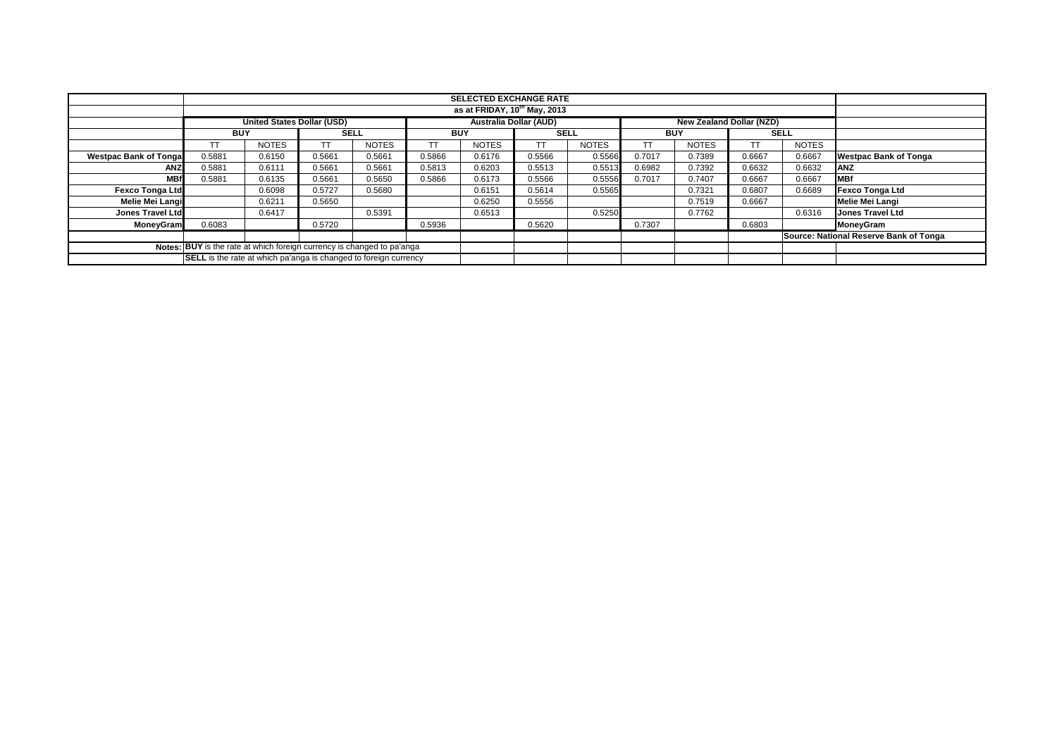|                                                                        |                                                                  |                                   |             |              |            | <b>SELECTED EXCHANGE RATE</b> |                               |              |            |                                 |             |              |                                        |
|------------------------------------------------------------------------|------------------------------------------------------------------|-----------------------------------|-------------|--------------|------------|-------------------------------|-------------------------------|--------------|------------|---------------------------------|-------------|--------------|----------------------------------------|
|                                                                        | as at FRIDAY, $10^{\text{th}}$ May, 2013                         |                                   |             |              |            |                               |                               |              |            |                                 |             |              |                                        |
|                                                                        |                                                                  | <b>United States Dollar (USD)</b> |             |              |            |                               | <b>Australia Dollar (AUD)</b> |              |            | <b>New Zealand Dollar (NZD)</b> |             |              |                                        |
|                                                                        | <b>BUY</b>                                                       |                                   | <b>SELL</b> |              | <b>BUY</b> |                               | <b>SELL</b>                   |              | <b>BUY</b> |                                 | <b>SELL</b> |              |                                        |
|                                                                        |                                                                  | <b>NOTES</b>                      |             | <b>NOTES</b> |            | <b>NOTES</b>                  | <b>TT</b>                     | <b>NOTES</b> | ТT         | <b>NOTES</b>                    | <b>TT</b>   | <b>NOTES</b> |                                        |
| <b>Westpac Bank of Tonga</b>                                           | 0.5881                                                           | 0.6150                            | 0.5661      | 0.5661       | 0.5866     | 0.6176                        | 0.5566                        | 0.5566       | 0.7017     | 0.7389                          | 0.6667      | 0.6667       | <b>Westpac Bank of Tonga</b>           |
| ANZ                                                                    | 0.5881                                                           | 0.6111                            | 0.5661      | 0.5661       | 0.5813     | 0.6203                        | 0.5513                        | 0.5513       | 0.6982     | 0.7392                          | 0.6632      | 0.6632       | <b>ANZ</b>                             |
| <b>MBf</b>                                                             | 0.5881                                                           | 0.6135                            | 0.5661      | 0.5650       | 0.5866     | 0.6173                        | 0.5566                        | 0.5556       | 0.7017     | 0.7407                          | 0.6667      | 0.6667       | <b>MBf</b>                             |
| <b>Fexco Tonga Ltd</b>                                                 |                                                                  | 0.6098                            | 0.5727      | 0.5680       |            | 0.6151                        | 0.5614                        | 0.5565       |            | 0.7321                          | 0.6807      | 0.6689       | <b>Fexco Tonga Ltd</b>                 |
| <b>Melie Mei Langi</b>                                                 |                                                                  | 0.6211                            | 0.5650      |              |            | 0.6250                        | 0.5556                        |              |            | 0.7519                          | 0.6667      |              | <b>Melie Mei Langi</b>                 |
| <b>Jones Travel Ltd</b>                                                |                                                                  | 0.6417                            |             | 0.5391       |            | 0.6513                        |                               | 0.5250       |            | 0.7762                          |             | 0.6316       | <b>Jones Travel Ltd</b>                |
| MoneyGram                                                              | 0.6083                                                           |                                   | 0.5720      |              | 0.5936     |                               | 0.5620                        |              | 0.7307     |                                 | 0.6803      |              | MoneyGram                              |
|                                                                        |                                                                  |                                   |             |              |            |                               |                               |              |            |                                 |             |              | Source: National Reserve Bank of Tonga |
| Notes: BUY is the rate at which foreign currency is changed to pa'anga |                                                                  |                                   |             |              |            |                               |                               |              |            |                                 |             |              |                                        |
|                                                                        | SELL is the rate at which pa'anga is changed to foreign currency |                                   |             |              |            |                               |                               |              |            |                                 |             |              |                                        |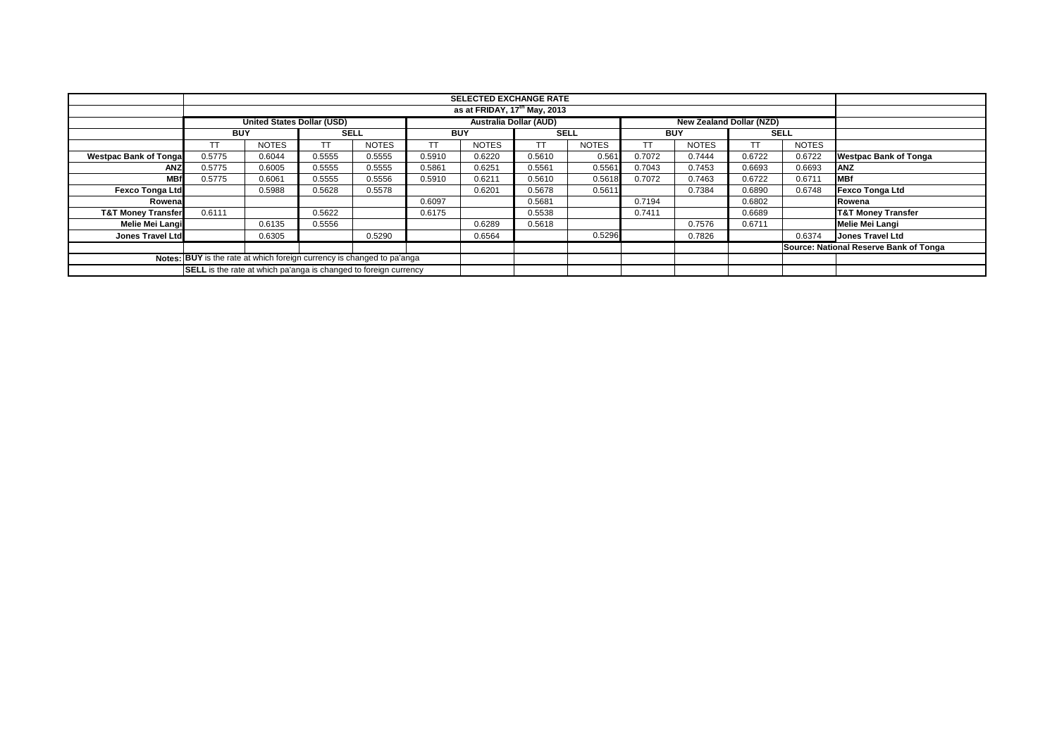|                                                                        |                                                                         |                                   |             |              |            | <b>SELECTED EXCHANGE RATE</b> |             |              |            |                                 |        |              |                                        |
|------------------------------------------------------------------------|-------------------------------------------------------------------------|-----------------------------------|-------------|--------------|------------|-------------------------------|-------------|--------------|------------|---------------------------------|--------|--------------|----------------------------------------|
|                                                                        |                                                                         | as at FRIDAY, $17th$ May, 2013    |             |              |            |                               |             |              |            |                                 |        |              |                                        |
|                                                                        |                                                                         | <b>United States Dollar (USD)</b> |             |              |            | <b>Australia Dollar (AUD)</b> |             |              |            | <b>New Zealand Dollar (NZD)</b> |        |              |                                        |
|                                                                        | <b>BUY</b>                                                              |                                   | <b>SELL</b> |              | <b>BUY</b> |                               | <b>SELL</b> |              | <b>BUY</b> |                                 |        | <b>SELL</b>  |                                        |
|                                                                        |                                                                         | <b>NOTES</b>                      |             | <b>NOTES</b> |            | <b>NOTES</b>                  | <b>TT</b>   | <b>NOTES</b> |            | <b>NOTES</b>                    | TT     | <b>NOTES</b> |                                        |
| <b>Westpac Bank of Tonga</b>                                           | 0.5775                                                                  | 0.6044                            | 0.5555      | 0.5555       | 0.5910     | 0.6220                        | 0.5610      | 0.561        | 0.7072     | 0.7444                          | 0.6722 | 0.6722       | <b>Westpac Bank of Tonga</b>           |
| ANZ                                                                    | 0.5775                                                                  | 0.6005                            | 0.5555      | 0.5555       | 0.5861     | 0.6251                        | 0.5561      | 0.5561       | 0.7043     | 0.7453                          | 0.6693 | 0.6693       | <b>ANZ</b>                             |
| <b>MBf</b>                                                             | 0.5775                                                                  | 0.6061                            | 0.5555      | 0.5556       | 0.5910     | 0.6211                        | 0.5610      | 0.5618       | 0.7072     | 0.7463                          | 0.6722 | 0.6711       | <b>MBf</b>                             |
| <b>Fexco Tonga Ltd</b>                                                 |                                                                         | 0.5988                            | 0.5628      | 0.5578       |            | 0.6201                        | 0.5678      | 0.5611       |            | 0.7384                          | 0.6890 | 0.6748       | <b>Fexco Tonga Ltd</b>                 |
| Rowena                                                                 |                                                                         |                                   |             |              | 0.6097     |                               | 0.5681      |              | 0.7194     |                                 | 0.6802 |              | Rowena                                 |
| <b>T&amp;T Money Transfer</b>                                          | 0.6111                                                                  |                                   | 0.5622      |              | 0.6175     |                               | 0.5538      |              | 0.7411     |                                 | 0.6689 |              | <b>T&amp;T Money Transfer</b>          |
| Melie Mei Langi                                                        |                                                                         | 0.6135                            | 0.5556      |              |            | 0.6289                        | 0.5618      |              |            | 0.7576                          | 0.6711 |              | Melie Mei Langi                        |
| <b>Jones Travel Ltd</b>                                                |                                                                         | 0.6305                            |             | 0.5290       |            | 0.6564                        |             | 0.5296       |            | 0.7826                          |        | 0.6374       | <b>Jones Travel Ltd</b>                |
|                                                                        |                                                                         |                                   |             |              |            |                               |             |              |            |                                 |        |              | Source: National Reserve Bank of Tonga |
| Notes: BUY is the rate at which foreign currency is changed to pa'anga |                                                                         |                                   |             |              |            |                               |             |              |            |                                 |        |              |                                        |
|                                                                        | <b>SELL</b> is the rate at which pa'anga is changed to foreign currency |                                   |             |              |            |                               |             |              |            |                                 |        |              |                                        |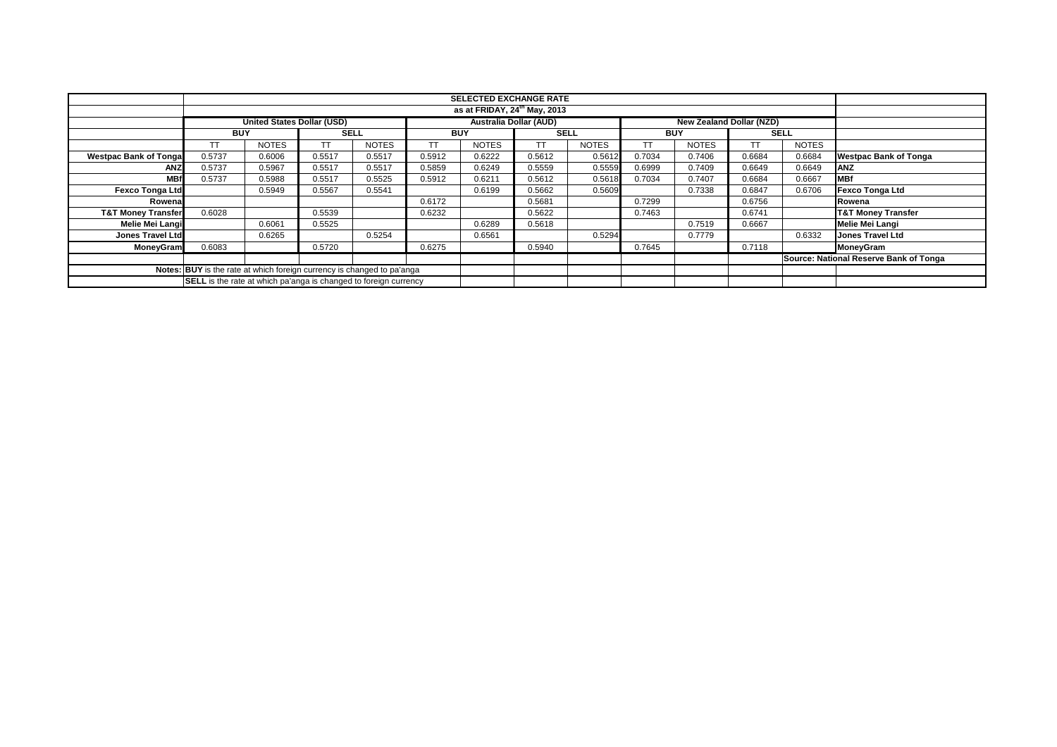|                                                                        | <b>SELECTED EXCHANGE RATE</b>                                    |                                   |             |              |            |              |                               |              |            |                                 |             |              |                                        |
|------------------------------------------------------------------------|------------------------------------------------------------------|-----------------------------------|-------------|--------------|------------|--------------|-------------------------------|--------------|------------|---------------------------------|-------------|--------------|----------------------------------------|
|                                                                        |                                                                  |                                   |             |              |            |              |                               |              |            |                                 |             |              |                                        |
|                                                                        | as at FRIDAY, 24 <sup>th</sup> May, 2013                         |                                   |             |              |            |              |                               |              |            |                                 |             |              |                                        |
|                                                                        |                                                                  | <b>United States Dollar (USD)</b> |             |              |            |              | <b>Australia Dollar (AUD)</b> |              |            | <b>New Zealand Dollar (NZD)</b> |             |              |                                        |
|                                                                        | <b>BUY</b>                                                       |                                   | <b>SELL</b> |              | <b>BUY</b> |              | <b>SELL</b>                   |              | <b>BUY</b> |                                 | <b>SELL</b> |              |                                        |
|                                                                        |                                                                  | <b>NOTES</b>                      |             | <b>NOTES</b> |            | <b>NOTES</b> | <b>TT</b>                     | <b>NOTES</b> |            | <b>NOTES</b>                    | ТT          | <b>NOTES</b> |                                        |
| <b>Westpac Bank of Tongal</b>                                          | 0.5737                                                           | 0.6006                            | 0.5517      | 0.5517       | 0.5912     | 0.6222       | 0.5612                        | 0.5612       | 0.7034     | 0.7406                          | 0.6684      | 0.6684       | <b>Westpac Bank of Tonga</b>           |
| ANZ                                                                    | 0.5737                                                           | 0.5967                            | 0.5517      | 0.5517       | 0.5859     | 0.6249       | 0.5559                        | 0.5559       | 0.6999     | 0.7409                          | 0.6649      | 0.6649       | <b>ANZ</b>                             |
| <b>MBf</b>                                                             | 0.5737                                                           | 0.5988                            | 0.5517      | 0.5525       | 0.5912     | 0.6211       | 0.5612                        | 0.5618       | 0.7034     | 0.7407                          | 0.6684      | 0.6667       | <b>MBf</b>                             |
| <b>Fexco Tonga Ltd</b>                                                 |                                                                  | 0.5949                            | 0.5567      | 0.5541       |            | 0.6199       | 0.5662                        | 0.5609       |            | 0.7338                          | 0.6847      | 0.6706       | <b>Fexco Tonga Ltd</b>                 |
| Rowena                                                                 |                                                                  |                                   |             |              | 0.6172     |              | 0.5681                        |              | 0.7299     |                                 | 0.6756      |              | Rowena                                 |
| <b>T&amp;T Money Transfer</b>                                          | 0.6028                                                           |                                   | 0.5539      |              | 0.6232     |              | 0.5622                        |              | 0.7463     |                                 | 0.6741      |              | <b>T&amp;T Money Transfer</b>          |
| Melie Mei Langi                                                        |                                                                  | 0.6061                            | 0.5525      |              |            | 0.6289       | 0.5618                        |              |            | 0.7519                          | 0.6667      |              | <b>Melie Mei Langi</b>                 |
| <b>Jones Travel Ltd</b>                                                |                                                                  | 0.6265                            |             | 0.5254       |            | 0.6561       |                               | 0.5294       |            | 0.7779                          |             | 0.6332       | <b>Jones Travel Ltd</b>                |
| MoneyGram                                                              | 0.6083                                                           |                                   | 0.5720      |              | 0.6275     |              | 0.5940                        |              | 0.7645     |                                 | 0.7118      |              | MoneyGram                              |
|                                                                        |                                                                  |                                   |             |              |            |              |                               |              |            |                                 |             |              | Source: National Reserve Bank of Tonga |
| Notes: BUY is the rate at which foreign currency is changed to pa'anga |                                                                  |                                   |             |              |            |              |                               |              |            |                                 |             |              |                                        |
|                                                                        | SELL is the rate at which pa'anga is changed to foreign currency |                                   |             |              |            |              |                               |              |            |                                 |             |              |                                        |